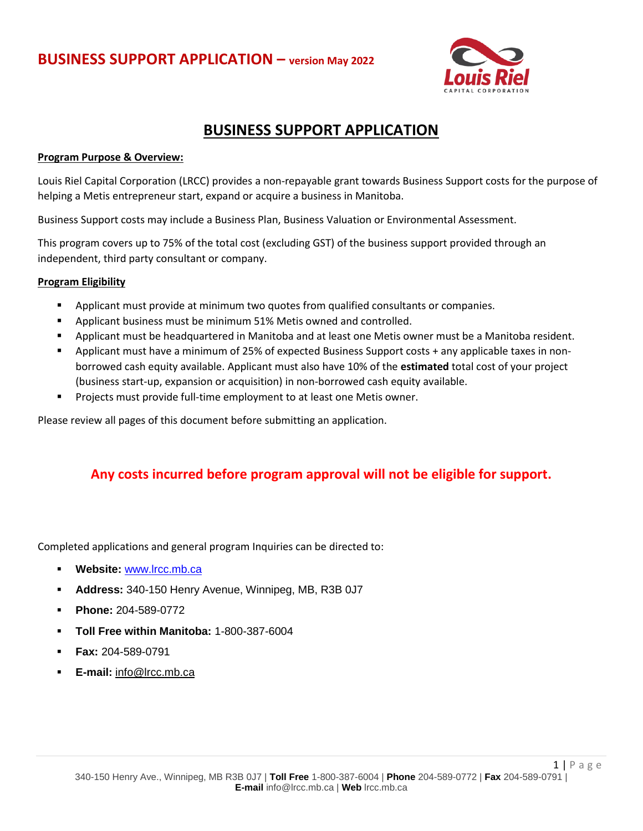

## **BUSINESS SUPPORT APPLICATION**

### **Program Purpose & Overview:**

Louis Riel Capital Corporation (LRCC) provides a non-repayable grant towards Business Support costs for the purpose of helping a Metis entrepreneur start, expand or acquire a business in Manitoba.

Business Support costs may include a Business Plan, Business Valuation or Environmental Assessment.

This program covers up to 75% of the total cost (excluding GST) of the business support provided through an independent, third party consultant or company.

### **Program Eligibility**

- **•** Applicant must provide at minimum two quotes from qualified consultants or companies.
- Applicant business must be minimum 51% Metis owned and controlled.
- Applicant must be headquartered in Manitoba and at least one Metis owner must be a Manitoba resident.
- Applicant must have a minimum of 25% of expected Business Support costs + any applicable taxes in nonborrowed cash equity available. Applicant must also have 10% of the **estimated** total cost of your project (business start-up, expansion or acquisition) in non-borrowed cash equity available.
- Projects must provide full-time employment to at least one Metis owner.

Please review all pages of this document before submitting an application.

### **Any costs incurred before program approval will not be eligible for support.**

Completed applications and general program Inquiries can be directed to:

- **Website:** [www.lrcc.mb.ca](http://www.lrcc.mb.ca/)
- **Address:** 340-150 Henry Avenue, Winnipeg, MB, R3B 0J7
- **Phone:** 204-589-0772
- **Toll Free within Manitoba:** 1-800-387-6004
- **Fax:** 204-589-0791
- **E-mail:** [info@lrcc.mb.ca](mailto:info@lrcc.mb.ca)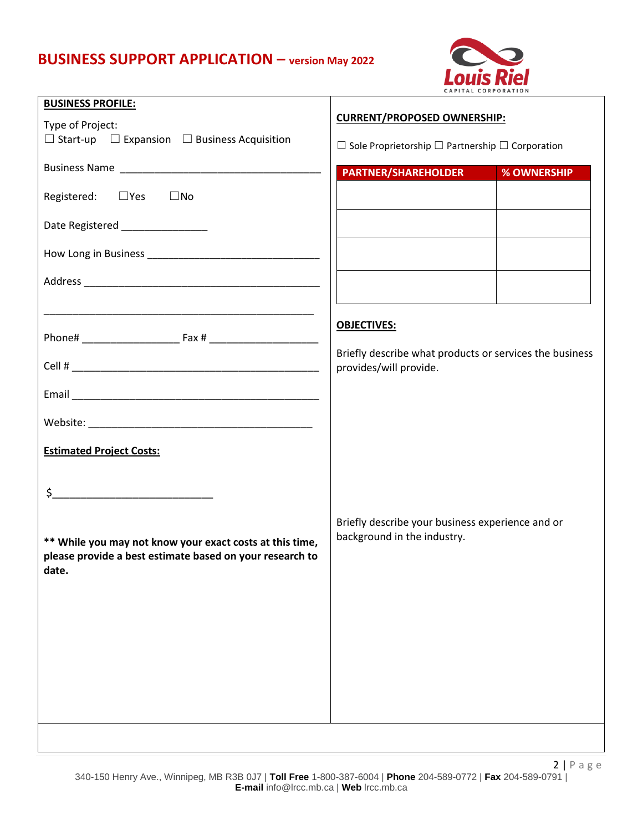## **BUSINESS SUPPORT APPLICATION – version May 2022**



| <b>BUSINESS PROFILE:</b>                                                         | CAPITAL CORPORATION                                              |                    |  |
|----------------------------------------------------------------------------------|------------------------------------------------------------------|--------------------|--|
|                                                                                  | <b>CURRENT/PROPOSED OWNERSHIP:</b>                               |                    |  |
| Type of Project:<br>$\Box$ Start-up $\Box$ Expansion $\Box$ Business Acquisition |                                                                  |                    |  |
|                                                                                  | $\Box$ Sole Proprietorship $\Box$ Partnership $\Box$ Corporation |                    |  |
|                                                                                  | <b>PARTNER/SHAREHOLDER</b>                                       | <b>% OWNERSHIP</b> |  |
| Registered: □ Yes □ No                                                           |                                                                  |                    |  |
| Date Registered ________________                                                 |                                                                  |                    |  |
|                                                                                  |                                                                  |                    |  |
|                                                                                  |                                                                  |                    |  |
|                                                                                  |                                                                  |                    |  |
|                                                                                  | <b>OBJECTIVES:</b>                                               |                    |  |
|                                                                                  | Briefly describe what products or services the business          |                    |  |
|                                                                                  | provides/will provide.                                           |                    |  |
|                                                                                  |                                                                  |                    |  |
|                                                                                  |                                                                  |                    |  |
| <b>Estimated Project Costs:</b>                                                  |                                                                  |                    |  |
|                                                                                  |                                                                  |                    |  |
| $\frac{1}{2}$                                                                    |                                                                  |                    |  |
|                                                                                  | Briefly describe your business experience and or                 |                    |  |
| ** While you may not know your exact costs at this time,                         | background in the industry.                                      |                    |  |
| please provide a best estimate based on your research to                         |                                                                  |                    |  |
| date.                                                                            |                                                                  |                    |  |
|                                                                                  |                                                                  |                    |  |
|                                                                                  |                                                                  |                    |  |
|                                                                                  |                                                                  |                    |  |
|                                                                                  |                                                                  |                    |  |
|                                                                                  |                                                                  |                    |  |
|                                                                                  |                                                                  |                    |  |
|                                                                                  |                                                                  |                    |  |
|                                                                                  |                                                                  |                    |  |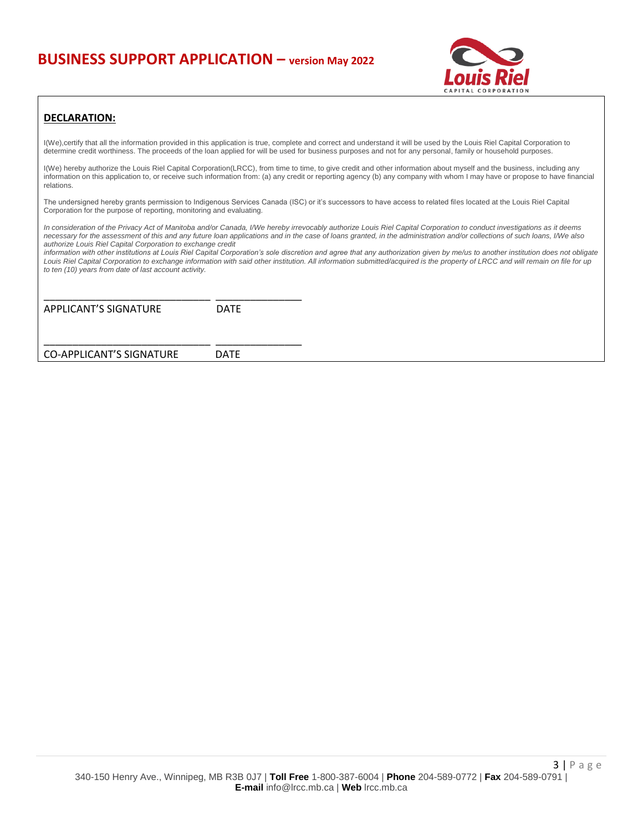## **BUSINESS SUPPORT APPLICATION – version May 2022**



#### **DECLARATION:**

I(We),certify that all the information provided in this application is true, complete and correct and understand it will be used by the Louis Riel Capital Corporation to determine credit worthiness. The proceeds of the loan applied for will be used for business purposes and not for any personal, family or household purposes.

I(We) hereby authorize the Louis Riel Capital Corporation(LRCC), from time to time, to give credit and other information about myself and the business, including any information on this application to, or receive such information from: (a) any credit or reporting agency (b) any company with whom I may have or propose to have financial relations.

The undersigned hereby grants permission to Indigenous Services Canada (ISC) or it's successors to have access to related files located at the Louis Riel Capital Corporation for the purpose of reporting, monitoring and evaluating.

*In consideration of the Privacy Act of Manitoba and/or Canada, I/We hereby irrevocably authorize Louis Riel Capital Corporation to conduct investigations as it deems necessary for the assessment of this and any future loan applications and in the case of loans granted, in the administration and/or collections of such loans, I/We also authorize Louis Riel Capital Corporation to exchange credit*

*information with other institutions at Louis Riel Capital Corporation's sole discretion and agree that any authorization given by me/us to another institution does not obligate Louis Riel Capital Corporation to exchange information with said other institution. All information submitted/acquired is the property of LRCC and will remain on file for up to ten (10) years from date of last account activity.*

| APPLICANT'S SIGNATURE    | <b>DATE</b> |  |
|--------------------------|-------------|--|
| CO-APPLICANT'S SIGNATURE | DATE        |  |